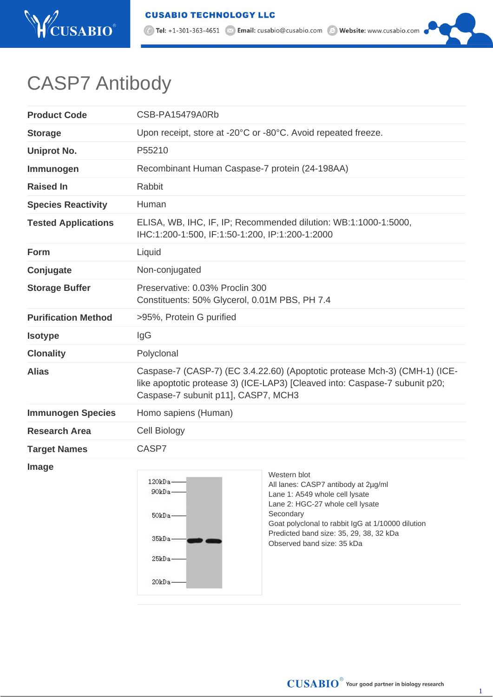

⊙ Tel: +1-301-363-4651 <br>
■ Email: cusabio@cusabio.com ● Website: www.cusabio.com

## CASP7 Antibody

| <b>Product Code</b>        | CSB-PA15479A0Rb                                                                                                                                                                                  |
|----------------------------|--------------------------------------------------------------------------------------------------------------------------------------------------------------------------------------------------|
| <b>Storage</b>             | Upon receipt, store at -20°C or -80°C. Avoid repeated freeze.                                                                                                                                    |
| <b>Uniprot No.</b>         | P55210                                                                                                                                                                                           |
| Immunogen                  | Recombinant Human Caspase-7 protein (24-198AA)                                                                                                                                                   |
| <b>Raised In</b>           | Rabbit                                                                                                                                                                                           |
| <b>Species Reactivity</b>  | Human                                                                                                                                                                                            |
| <b>Tested Applications</b> | ELISA, WB, IHC, IF, IP; Recommended dilution: WB:1:1000-1:5000,<br>IHC:1:200-1:500, IF:1:50-1:200, IP:1:200-1:2000                                                                               |
| <b>Form</b>                | Liquid                                                                                                                                                                                           |
| Conjugate                  | Non-conjugated                                                                                                                                                                                   |
| <b>Storage Buffer</b>      | Preservative: 0.03% Proclin 300<br>Constituents: 50% Glycerol, 0.01M PBS, PH 7.4                                                                                                                 |
| <b>Purification Method</b> | >95%, Protein G purified                                                                                                                                                                         |
| <b>Isotype</b>             | IgG                                                                                                                                                                                              |
| <b>Clonality</b>           | Polyclonal                                                                                                                                                                                       |
| <b>Alias</b>               | Caspase-7 (CASP-7) (EC 3.4.22.60) (Apoptotic protease Mch-3) (CMH-1) (ICE-<br>like apoptotic protease 3) (ICE-LAP3) [Cleaved into: Caspase-7 subunit p20;<br>Caspase-7 subunit p11], CASP7, MCH3 |
| <b>Immunogen Species</b>   | Homo sapiens (Human)                                                                                                                                                                             |
| <b>Research Area</b>       | Cell Biology                                                                                                                                                                                     |
| <b>Target Names</b>        | CASP7                                                                                                                                                                                            |

**Image**